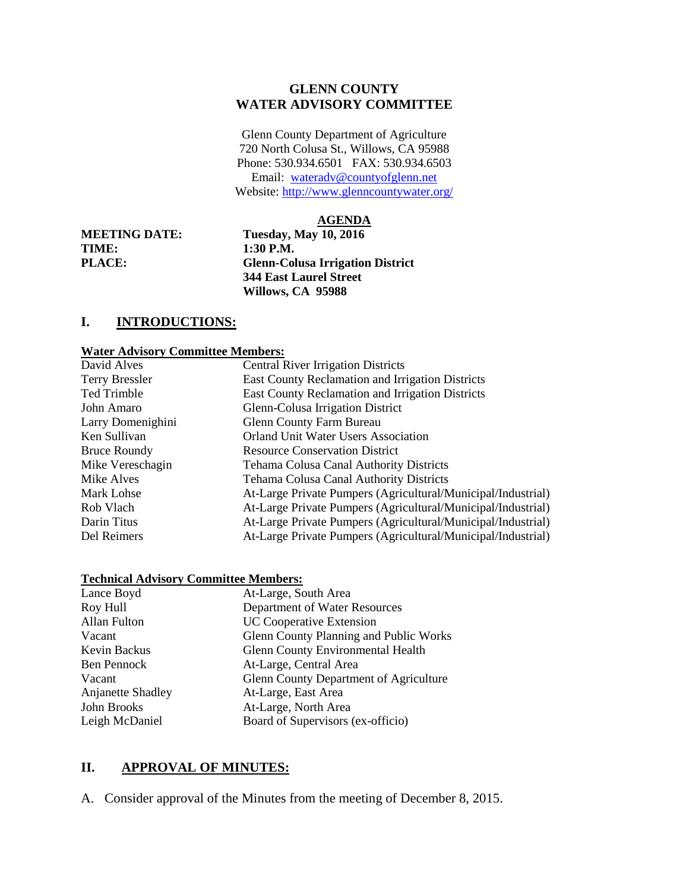#### **GLENN COUNTY WATER ADVISORY COMMITTEE**

Glenn County Department of Agriculture 720 North Colusa St., Willows, CA 95988 Phone: 530.934.6501 FAX: 530.934.6503 Email: [wateradv@countyofglenn.net](mailto:wateradv@countyofglenn.net) Website:<http://www.glenncountywater.org/>

#### **AGENDA**

**TIME: 1:30 P.M.** 

**MEETING DATE: Tuesday, May 10, 2016 PLACE: Glenn-Colusa Irrigation District 344 East Laurel Street Willows, CA 95988**

## **I. INTRODUCTIONS:**

#### **Water Advisory Committee Members:**

| David Alves           | <b>Central River Irrigation Districts</b>                    |
|-----------------------|--------------------------------------------------------------|
| <b>Terry Bressler</b> | East County Reclamation and Irrigation Districts             |
| <b>Ted Trimble</b>    | East County Reclamation and Irrigation Districts             |
| John Amaro            | Glenn-Colusa Irrigation District                             |
| Larry Domenighini     | <b>Glenn County Farm Bureau</b>                              |
| Ken Sullivan          | <b>Orland Unit Water Users Association</b>                   |
| <b>Bruce Roundy</b>   | <b>Resource Conservation District</b>                        |
| Mike Vereschagin      | Tehama Colusa Canal Authority Districts                      |
| Mike Alves            | Tehama Colusa Canal Authority Districts                      |
| Mark Lohse            | At-Large Private Pumpers (Agricultural/Municipal/Industrial) |
| Rob Vlach             | At-Large Private Pumpers (Agricultural/Municipal/Industrial) |
| Darin Titus           | At-Large Private Pumpers (Agricultural/Municipal/Industrial) |
| Del Reimers           | At-Large Private Pumpers (Agricultural/Municipal/Industrial) |
|                       |                                                              |

#### **Technical Advisory Committee Members:**

| Lance Boyd        | At-Large, South Area                          |
|-------------------|-----------------------------------------------|
| Roy Hull          | Department of Water Resources                 |
| Allan Fulton      | <b>UC Cooperative Extension</b>               |
| Vacant            | Glenn County Planning and Public Works        |
| Kevin Backus      | <b>Glenn County Environmental Health</b>      |
| Ben Pennock       | At-Large, Central Area                        |
| Vacant            | <b>Glenn County Department of Agriculture</b> |
| Anjanette Shadley | At-Large, East Area                           |
| John Brooks       | At-Large, North Area                          |
| Leigh McDaniel    | Board of Supervisors (ex-officio)             |

#### **II. APPROVAL OF MINUTES:**

A. Consider approval of the Minutes from the meeting of December 8, 2015.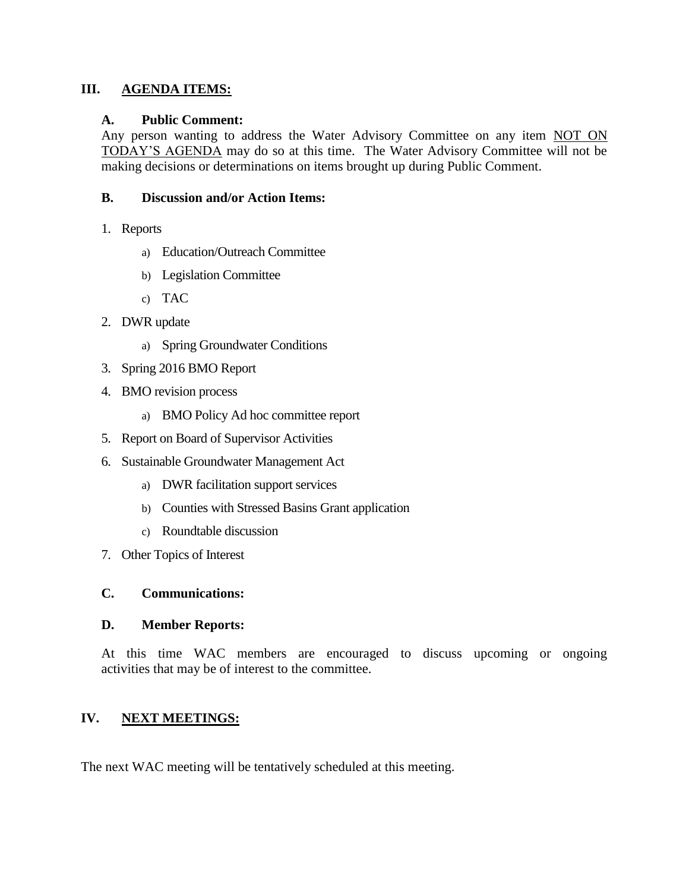## **III. AGENDA ITEMS:**

### **A. Public Comment:**

Any person wanting to address the Water Advisory Committee on any item NOT ON TODAY'S AGENDA may do so at this time. The Water Advisory Committee will not be making decisions or determinations on items brought up during Public Comment.

### **B. Discussion and/or Action Items:**

- 1. Reports
	- a) Education/Outreach Committee
	- b) Legislation Committee
	- c) TAC
- 2. DWR update
	- a) Spring Groundwater Conditions
- 3. Spring 2016 BMO Report
- 4. BMO revision process
	- a) BMO Policy Ad hoc committee report
- 5. Report on Board of Supervisor Activities
- 6. Sustainable Groundwater Management Act
	- a) DWR facilitation support services
	- b) Counties with Stressed Basins Grant application
	- c) Roundtable discussion
- 7. Other Topics of Interest

### **C. Communications:**

## **D. Member Reports:**

At this time WAC members are encouraged to discuss upcoming or ongoing activities that may be of interest to the committee.

## **IV. NEXT MEETINGS:**

The next WAC meeting will be tentatively scheduled at this meeting.